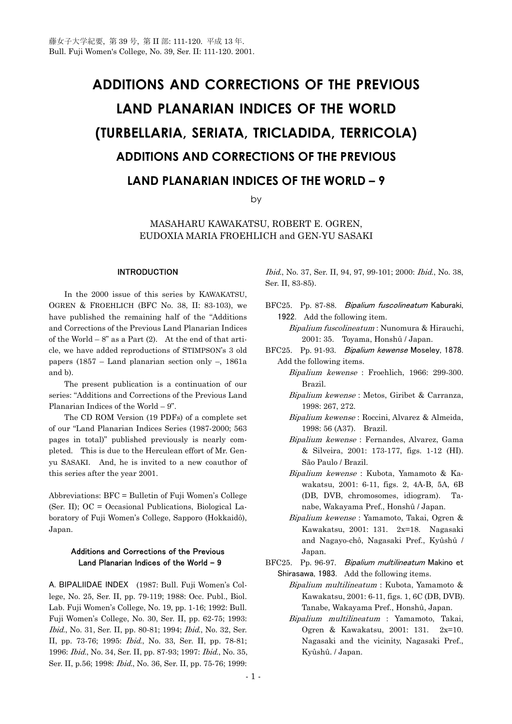## **ADDITIONS AND CORRECTIONS OF THE PREVIOUS LAND PLANARIAN INDICES OF THE WORLD (TURBELLARIA, SERIATA, TRICLADIDA, TERRICOLA) ADDITIONS AND CORRECTIONS OF THE PREVIOUS LAND PLANARIAN INDICES OF THE WORLD – 9**

by

MASAHARU KAWAKATSU, ROBERT E. OGREN, EUDOXIA MARIA FROEHLICH and GEN-YU SASAKI

## **INTRODUCTION**

 In the 2000 issue of this series by KAWAKATSU, OGREN & FROEHLICH (BFC No. 38, II: 83-103), we have published the remaining half of the "Additions and Corrections of the Previous Land Planarian Indices of the World  $-8$ " as a Part (2). At the end of that article, we have added reproductions of STIMPSON's 3 old papers (1857 – Land planarian section only –, 1861a and b).

 The present publication is a continuation of our series: "Additions and Corrections of the Previous Land Planarian Indices of the World – 9".

 The CD ROM Version (19 PDFs) of a complete set of our "Land Planarian Indices Series (1987-2000; 563 pages in total)" published previously is nearly completed. This is due to the Herculean effort of Mr. Genyu SASAKI. And, he is invited to a new coauthor of this series after the year 2001.

Abbreviations: BFC = Bulletin of Fuji Women's College (Ser. II); OC = Occasional Publications, Biological Laboratory of Fuji Women's College, Sapporo (Hokkaidô), Japan.

## Additions and Corrections of the Previous Land Planarian Indices of the World **–** 9

A. BIPALIIDAE INDEX (1987: Bull. Fuji Women's College, No. 25, Ser. II, pp. 79-119; 1988: Occ. Publ., Biol. Lab. Fuji Women's College, No. 19, pp. 1-16; 1992: Bull. Fuji Women's College, No. 30, Ser. II, pp. 62-75; 1993: Ibid., No. 31, Ser. II, pp. 80-81; 1994; Ibid., No. 32, Ser. II, pp. 73-76; 1995: Ibid., No. 33, Ser. II, pp. 78-81; 1996: Ibid., No. 34, Ser. II, pp. 87-93; 1997: Ibid., No. 35, Ser. II, p.56; 1998: Ibid., No. 36, Ser. II, pp. 75-76; 1999:

Ibid., No. 37, Ser. II, 94, 97, 99-101; 2000: Ibid., No. 38, Ser. II, 83-85).

- BFC25. Pp. 87-88. Bipalium fuscolineatum Kaburaki, 1922. Add the following item.
	- Bipalium fuscolineatum : Nunomura & Hirauchi, 2001: 35. Toyama, Honshû / Japan.
- BFC25. Pp. 91-93. Bipalium kewense Moseley, 1878. Add the following items.
	- Bipalium kewense : Froehlich, 1966: 299-300. Brazil.
	- Bipalium kewense : Metos, Giribet & Carranza, 1998: 267, 272.
	- Bipalium kewense : Roccini, Alvarez & Almeida, 1998: 56 (A37). Brazil.
	- Bipalium kewense : Fernandes, Alvarez, Gama & Silveira, 2001: 173-177, figs. 1-12 (HI). São Paulo / Brazil.
	- Bipalium kewense : Kubota, Yamamoto & Kawakatsu, 2001: 6-11, figs. 2, 4A-B, 5A, 6B (DB, DVB, chromosomes, idiogram). Tanabe, Wakayama Pref., Honshû / Japan.
	- Bipalium kewense : Yamamoto, Takai, Ogren & Kawakatsu, 2001: 131. 2x=18. Nagasaki and Nagayo-chô, Nagasaki Pref., Kyûshû / Japan.
- BFC25. Pp. 96-97. Bipalium multilineatum Makino et Shirasawa, 1983. Add the following items.
	- Bipalium multilineatum : Kubota, Yamamoto & Kawakatsu, 2001: 6-11, figs. 1, 6C (DB, DVB). Tanabe, Wakayama Pref., Honshû, Japan.
	- Bipalium multilineatum : Yamamoto, Takai, Ogren & Kawakatsu, 2001: 131. 2x=10. Nagasaki and the vicinity, Nagasaki Pref., Kyûshû. / Japan.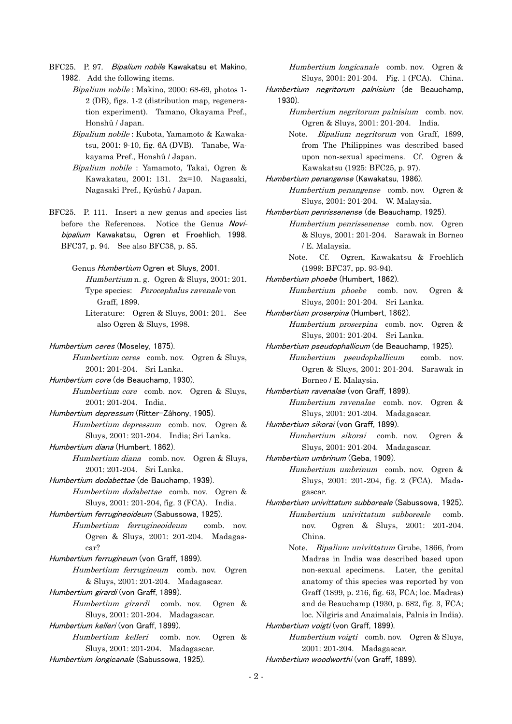BFC25. P. 97. Bipalium nobile Kawakatsu et Makino, 1982. Add the following items.

> Bipalium nobile : Makino, 2000: 68-69, photos 1- 2 (DB), figs. 1-2 (distribution map, regeneration experiment). Tamano, Okayama Pref., Honshû / Japan.

> Bipalium nobile : Kubota, Yamamoto & Kawakatsu, 2001: 9-10, fig. 6A (DVB). Tanabe, Wakayama Pref., Honshû / Japan.

> Bipalium nobile : Yamamoto, Takai, Ogren & Kawakatsu, 2001: 131. 2x=10. Nagasaki, Nagasaki Pref., Kyûshû / Japan.

BFC25. P. 111. Insert a new genus and species list before the References. Notice the Genus Novibipalium Kawakatsu, Ogren et Froehlich, 1998. BFC37, p. 94. See also BFC38, p. 85.

> Genus Humbertium Ogren et Sluys, 2001. Humbertium n. g. Ogren & Sluys, 2001: 201. Type species: Perocephalus ravenale von

 Graff, 1899. Literature: Ogren & Sluys, 2001: 201. See also Ogren & Sluys, 1998.

Humbertium ceres (Moseley, 1875).

Humbertium ceres comb. nov. Ogren & Sluys, 2001: 201-204. Sri Lanka.

Humbertium core (de Beauchamp, 1930). Humbertium core comb. nov. Ogren & Sluys, 2001: 201-204. India.

Humbertium depressum (Ritter-Záhony, 1905).

 Humbertium depressum comb. nov. Ogren & Sluys, 2001: 201-204. India; Sri Lanka.

Humbertium diana (Humbert, 1862).

 Humbertium diana comb. nov. Ogren & Sluys, 2001: 201-204. Sri Lanka.

Humbertium dodabettae (de Bauchamp, 1939). Humbertium dodabettae comb. nov. Ogren &

Sluys, 2001: 201-204, fig. 3 (FCA). India.

Humbertium ferrugineoideum (Sabussowa, 1925).

 Humbertium ferrugineoideum comb. nov. Ogren & Sluys, 2001: 201-204. Madagascar?

Humbertium ferrugineum (von Graff, 1899).

 Humbertium ferrugineum comb. nov. Ogren & Sluys, 2001: 201-204. Madagascar.

Humbertium girardi (von Graff, 1899).

Humbertium girardi comb. nov. Ogren & Sluys, 2001: 201-204. Madagascar.

Humbertium kelleri (von Graff, 1899).

 Humbertium kelleri comb. nov. Ogren & Sluys, 2001: 201-204. Madagascar. Humbertium longicanale (Sabussowa, 1925).

 Humbertium longicanale comb. nov. Ogren & Sluys, 2001: 201-204. Fig. 1 (FCA). China.

Humbertium negritorum palnisium (de Beauchamp, 1930).

> Humbertium negritorum palnisium comb. nov. Ogren & Sluys, 2001: 201-204. India.

 Note. Bipalium negritorum von Graff, 1899, from The Philippines was described based upon non-sexual specimens. Cf. Ogren & Kawakatsu (1925: BFC25, p. 97).

Humbertium penangense (Kawakatsu, 1986).

Humbertium penangense comb. nov. Ogren & Sluys, 2001: 201-204. W. Malaysia.

Humbertium penrissenense (de Beauchamp, 1925).

 Humbertium penrissenense comb. nov. Ogren & Sluys, 2001: 201-204. Sarawak in Borneo / E. Malaysia.

 Note. Cf. Ogren, Kawakatsu & Froehlich (1999: BFC37, pp. 93-94).

Humbertium phoebe (Humbert, 1862).

 Humbertium phoebe comb. nov. Ogren & Sluys, 2001: 201-204. Sri Lanka.

Humbertium proserpina (Humbert, 1862).

 Humbertium proserpina comb. nov. Ogren & Sluys, 2001: 201-204. Sri Lanka.

Humbertium pseudophallicum (de Beauchamp, 1925).

 Humbertium pseudophallicum comb. nov. Ogren & Sluys, 2001: 201-204. Sarawak in Borneo / E. Malaysia.

Humbertium ravenalae (von Graff, 1899).

 Humbertium ravenalae comb. nov. Ogren & Sluys, 2001: 201-204. Madagascar.

Humbertium sikorai (von Graff, 1899).

Humbertium sikorai comb. nov. Ogren & Sluys, 2001: 201-204. Madagascar.

Humbertium umbrinum (Geba, 1909).

- Humbertium umbrinum comb. nov. Ogren & Sluys, 2001: 201-204, fig. 2 (FCA). Madagascar.
- Humbertium univittatum subboreale (Sabussowa, 1925). Humbertium univittatum subboreale comb. nov. Ogren & Sluys, 2001: 201-204. China.
	- Note. Bipalium univittatum Grube, 1866, from Madras in India was described based upon non-sexual specimens. Later, the genital anatomy of this species was reported by von Graff (1899, p. 216, fig. 63, FCA; loc. Madras) and de Beauchamp (1930, p. 682, fig. 3, FCA; loc. Nilgiris and Anaimalais, Palnis in India).

Humbertium voigti (von Graff, 1899).

 Humbertium voigti comb. nov. Ogren & Sluys, 2001: 201-204. Madagascar.

Humbertium woodworthi (von Graff, 1899).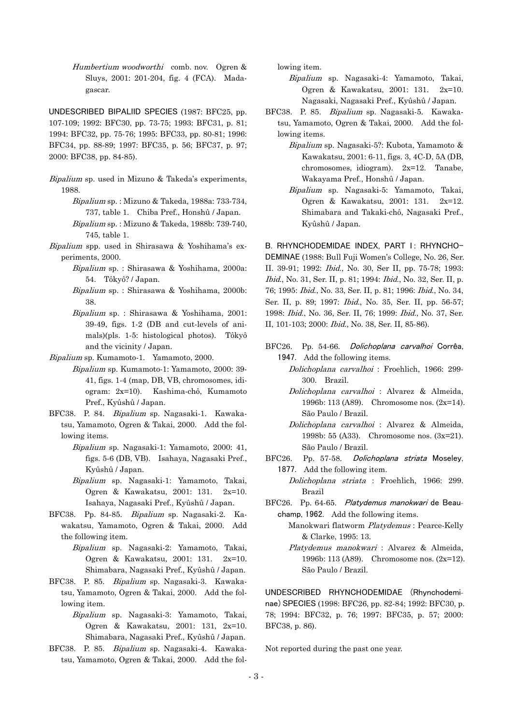Humbertium woodworthi comb. nov. Ogren & Sluys, 2001: 201-204, fig. 4 (FCA). Madagascar.

UNDESCRIBED BIPALIID SPECIES (1987: BFC25, pp. 107-109; 1992: BFC30, pp. 73-75; 1993: BFC31, p. 81; 1994: BFC32, pp. 75-76; 1995: BFC33, pp. 80-81; 1996: BFC34, pp. 88-89; 1997: BFC35, p. 56; BFC37, p. 97; 2000: BFC38, pp. 84-85).

- Bipalium sp. used in Mizuno & Takeda's experiments, 1988.
	- Bipalium sp. : Mizuno & Takeda, 1988a: 733-734, 737, table 1. Chiba Pref., Honshû / Japan.
	- Bipalium sp. : Mizuno & Takeda, 1988b: 739-740, 745, table 1.
- Bipalium spp. used in Shirasawa & Yoshihama's experiments, 2000.
	- Bipalium sp. : Shirasawa & Yoshihama, 2000a: 54. Tôkyô? / Japan.
	- Bipalium sp. : Shirasawa & Yoshihama, 2000b: 38.
	- Bipalium sp. : Shirasawa & Yoshihama, 2001: 39-49, figs. 1-2 (DB and cut-levels of animals)(pls. 1-5: histological photos). Tôkyô and the vicinity / Japan.
- Bipalium sp. Kumamoto-1. Yamamoto, 2000.
	- Bipalium sp. Kumamoto-1: Yamamoto, 2000: 39- 41, figs. 1-4 (map, DB, VB, chromosomes, idiogram: 2x=10). Kashima-chô, Kumamoto Pref., Kyûshû / Japan.
- BFC38. P. 84. Bipalium sp. Nagasaki-1. Kawakatsu, Yamamoto, Ogren & Takai, 2000. Add the following items.
	- Bipalium sp. Nagasaki-1: Yamamoto, 2000: 41, figs. 5-6 (DB, VB). Isahaya, Nagasaki Pref., Kyûshû / Japan.
	- Bipalium sp. Nagasaki-1: Yamamoto, Takai, Ogren & Kawakatsu, 2001: 131. 2x=10. Isahaya, Nagasaki Pref., Kyûshû / Japan.
- BFC38. Pp. 84-85. Bipalium sp. Nagasaki-2. Kawakatsu, Yamamoto, Ogren & Takai, 2000. Add the following item.
	- Bipalium sp. Nagasaki-2: Yamamoto, Takai, Ogren & Kawakatsu, 2001: 131. 2x=10. Shimabara, Nagasaki Pref., Kyûshû / Japan.
- BFC38. P. 85. Bipalium sp. Nagasaki-3. Kawakatsu, Yamamoto, Ogren & Takai, 2000. Add the following item.
	- Bipalium sp. Nagasaki-3: Yamamoto, Takai, Ogren & Kawakatsu, 2001: 131, 2x=10. Shimabara, Nagasaki Pref., Kyûshû / Japan.
- BFC38. P. 85. Bipalium sp. Nagasaki-4. Kawakatsu, Yamamoto, Ogren & Takai, 2000. Add the fol-

lowing item.

- Bipalium sp. Nagasaki-4: Yamamoto, Takai, Ogren & Kawakatsu, 2001: 131. 2x=10. Nagasaki, Nagasaki Pref., Kyûshû / Japan.
- BFC38. P. 85. Bipalium sp. Nagasaki-5. Kawakatsu, Yamamoto, Ogren & Takai, 2000. Add the following items.
	- Bipalium sp. Nagasaki-5?: Kubota, Yamamoto & Kawakatsu, 2001: 6-11, figs. 3, 4C-D, 5A (DB, chromosomes, idiogram). 2x=12. Tanabe, Wakayama Pref., Honshû / Japan.
	- Bipalium sp. Nagasaki-5: Yamamoto, Takai, Ogren & Kawakatsu, 2001: 131. 2x=12. Shimabara and Takaki-chô, Nagasaki Pref., Kyûshû / Japan.

B. RHYNCHODEMIDAE INDEX, PART I: RHYNCHO-DEMINAE (1988: Bull Fuji Women's College, No. 26, Ser. II. 39-91; 1992: Ibid., No. 30, Ser II, pp. 75-78; 1993: Ibid., No. 31, Ser. II, p. 81; 1994: Ibid., No. 32, Ser. II, p. 76; 1995: Ibid., No. 33, Ser. II, p. 81; 1996: Ibid., No. 34, Ser. II, p. 89; 1997: Ibid., No. 35, Ser. II, pp. 56-57; 1998: Ibid., No. 36, Ser. II, 76; 1999: Ibid., No. 37, Ser. II, 101-103; 2000: Ibid., No. 38, Ser. II, 85-86).

- BFC26. Pp. 54-66. Dolichoplana carvalhoi Corrêa, 1947. Add the following items.
	- Dolichoplana carvalhoi : Froehlich, 1966: 299- 300. Brazil.
	- Dolichoplana carvalhoi : Alvarez & Almeida, 1996b: 113 (A89). Chromosome nos. (2x=14). São Paulo / Brazil.
	- Dolichoplana carvalhoi : Alvarez & Almeida, 1998b: 55 (A33). Chromosome nos. (3x=21). São Paulo / Brazil.
- BFC26. Pp. 57-58. Dolichoplana striata Moseley, 1877. Add the following item.
	- Dolichoplana striata : Froehlich, 1966: 299. Brazil
- BFC26. Pp. 64-65. Platydemus manokwari de Beauchamp, 1962. Add the following items.
	- Manokwari flatworm Platydemus : Pearce-Kelly & Clarke, 1995: 13.
	- Platydemus manokwari : Alvarez & Almeida, 1996b: 113 (A89). Chromosome nos. (2x=12). São Paulo / Brazil.

UNDESCRIBED RHYNCHODEMIDAE (Rhynchodeminae) SPECIES (1998: BFC26, pp. 82-84; 1992: BFC30, p. 78; 1994: BFC32, p. 76; 1997: BFC35, p. 57; 2000: BFC38, p. 86).

Not reported during the past one year.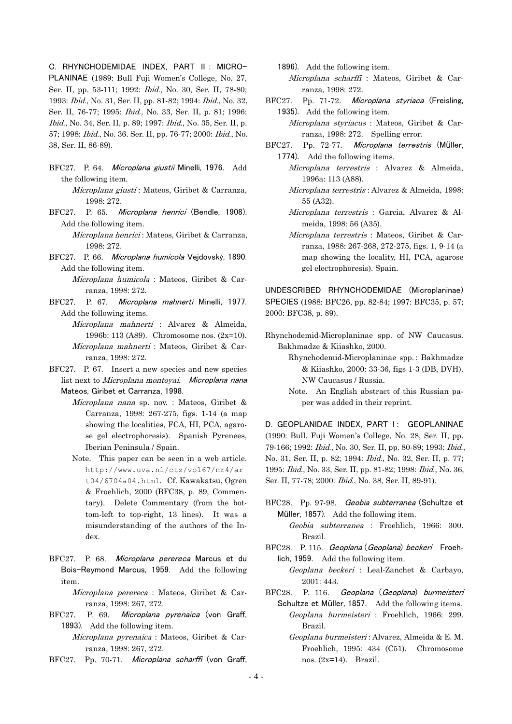C. RHYNCHODEMIDAE INDEX, PART II : MICRO-PLANINAE (1989: Bull Fuji Women's College, No. 27, Ser. II, pp. 53-111; 1992: Ibid., No. 30, Ser. II, 78-80; 1993: Ibid., No. 31, Ser. II, pp. 81-82; 1994: Ibid., No. 32, Ser. II, 76-77; 1995: Ibid., No. 33, Ser. II, p. 81; 1996: Ibid., No. 34, Ser. II, p. 89; 1997: Ibid., No. 35, Ser. II, p. 57; 1998: Ibid., No. 36. Ser. II, pp. 76-77; 2000: Ibid., No. 38, Ser. II, 86-89).

- BFC27. P. 64. Microplana giustii Minelli, 1976. Add the following item. Microplana giusti : Mateos, Giribet & Carranza, 1998: 272.
- BFC27. P. 65. Microplana henrici (Bendle, 1908). Add the following item.

 Microplana henrici : Mateos, Giribet & Carranza, 1998: 272.

BFC27. P. 66. Microplana humicola Vejdovský, 1890. Add the following item.

> Microplana humicola : Mateos, Giribet & Carranza, 1998: 272.

- BFC27. P. 67. Microplana mahnerti Minelli, 1977. Add the following items.
	- Microplana mahnerti : Alvarez & Almeida, 1996b: 113 (A89). Chromosome nos. (2x=10). Microplana mahnerti : Mateos, Giribet & Carranza, 1998: 272.
- BFC27. P. 67. Insert a new species and new species list next to Microplana montoyai. Microplana nana Mateos, Giribet et Carranza, 1998.
	- Microplana nana sp. nov. : Mateos, Giribet & Carranza, 1998: 267-275, figs. 1-14 (a map showing the localities, FCA, HI, PCA, agarose gel electrophoresis). Spanish Pyrenees, Iberian Peninsula / Spain.
	- Note. This paper can be seen in a web article. [http://www.uva.nl/ctz/vol67/nr4/ar](http://www.uva.nl/ctz/vol67/nr4/art04/6704a04.html) [t04/6704a04.html](http://www.uva.nl/ctz/vol67/nr4/art04/6704a04.html). Cf. Kawakatsu, Ogren & Froehlich, 2000 (BFC38, p. 89, Commentary). Delete Commentary (from the bottom-left to top-right, 13 lines). It was a misunderstanding of the authors of the Index.
- BFC27. P. 68. Microplana perereca Marcus et du Bois-Reymond Marcus, 1959. Add the following item.

 Microplana perereca : Mateos, Giribet & Carranza, 1998: 267, 272.

BFC27. P. 69. Microplana pyrenaica (von Graff, 1893). Add the following item.

> Microplana pyrenaica : Mateos, Giribet & Carranza, 1998: 267, 272.

BFC27. Pp. 70-71. Microplana scharffi (von Graff,

1896). Add the following item.

 Microplana scharffi : Mateos, Giribet & Carranza, 1998: 272.

BFC27. Pp. 71-72. Microplana styriaca (Freisling, 1935). Add the following item.

 Microplana styriacus : Mateos, Giribet & Carranza, 1998: 272. Spelling error.

- BFC27. Pp. 72-77. Microplana terrestris (Müller, 1774). Add the following items.
	- Microplana terrestris : Alvarez & Almeida, 1996a: 113 (A88).
	- Microplana terrestris : Alvarez & Almeida, 1998: 55 (A32).
	- Microplana terrestris : Garcia, Alvarez & Almeida, 1998: 56 (A35).
	- Microplana terrestris : Mateos, Giribet & Carranza, 1988: 267-268, 272-275, figs. 1, 9-14 (a map showing the locality, HI, PCA, agarose gel electrophoresis). Spain.

UNDESCRIBED RHYNCHODEMIDAE (Microplaninae) SPECIES (1988: BFC26, pp. 82-84; 1997: BFC35, p. 57; 2000: BFC38, p. 89).

Rhynchodemid-Microplaninae spp. of NW Caucasus. Bakhmadze & Kiiashko, 2000.

 Rhynchodemid-Microplaninae spp. : Bakhmadze & Kiiashko, 2000: 33-36, figs 1-3 (DB, DVH). NW Caucasus / Russia.

 Note. An English abstract of this Russian paper was added in their reprint.

D. GEOPLANIDAE INDEX, PART I: GEOPLANINAE (1990: Bull. Fuji Women's College, No. 28, Ser. II, pp. 79-166; 1992: Ibid., No. 30, Ser. II, pp. 80-89; 1993: Ibid., No. 31, Ser. II, p. 82; 1994: Ibid., No. 32, Ser. II, p. 77; 1995: Ibid., No. 33, Ser. II, pp. 81-82; 1998: Ibid., No. 36, Ser. II, 77-78; 2000: Ibid., No. 38, Ser. II, 89-91).

BFC28. Pp. 97-98. Geobia subterranea (Schultze et Müller, 1857). Add the following item.

 Geobia subterranea : Froehlich, 1966: 300. Brazil.

- BFC28. P. 115. Geoplana (Geoplana) beckeri Froehlich, 1959. Add the following item.
	- Geoplana beckeri : Leal-Zanchet & Carbayo, 2001: 443.
- BFC28. P. 116. Geoplana (Geoplana) burmeisteri Schultze et Müller, 1857. Add the following items. Geoplana burmeisteri : Froehlich, 1966: 299. Brazil.
	- Geoplana burmeisteri : Alvarez, Almeida & E. M. Froehlich, 1995: 434 (C51). Chromosome nos. (2x=14). Brazil.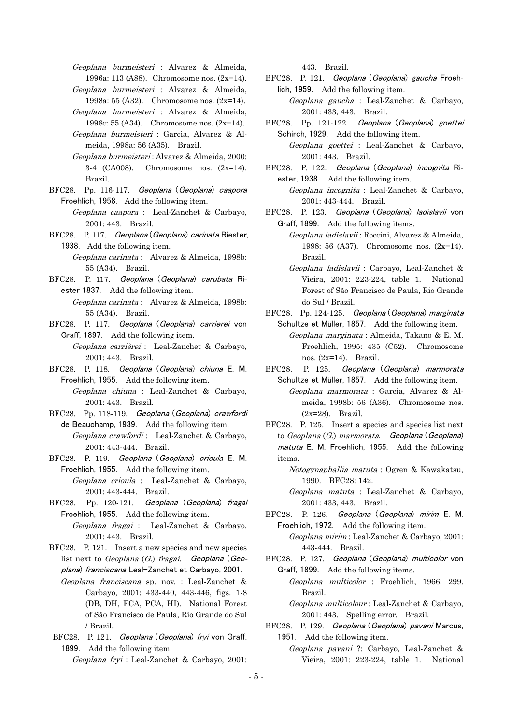Geoplana burmeisteri : Alvarez & Almeida, 1996a: 113 (A88). Chromosome nos. (2x=14).

- Geoplana burmeisteri : Alvarez & Almeida, 1998a: 55 (A32). Chromosome nos. (2x=14).
- Geoplana burmeisteri : Alvarez & Almeida, 1998c: 55 (A34). Chromosome nos. (2x=14).
- Geoplana burmeisteri : Garcia, Alvarez & Almeida, 1998a: 56 (A35). Brazil.
- Geoplana burmeisteri : Alvarez & Almeida, 2000: 3-4 (CA008). Chromosome nos. (2x=14). Brazil.
- BFC28. Pp. 116-117. Geoplana (Geoplana) caapora Froehlich, 1958. Add the following item.
	- Geoplana caapora : Leal-Zanchet & Carbayo, 2001: 443. Brazil.
- BFC28. P. 117. Geoplana (Geoplana) carinata Riester, 1938. Add the following item.
	- Geoplana carinata : Alvarez & Almeida, 1998b: 55 (A34). Brazil.
- BFC28. P. 117. Geoplana (Geoplana) carubata Riester 1837. Add the following item.
	- Geoplana carinata : Alvarez & Almeida, 1998b: 55 (A34). Brazil.
- BFC28. P. 117. Geoplana (Geoplana) carrierei von Graff, 1897. Add the following item.

 Geoplana carrièrei : Leal-Zanchet & Carbayo, 2001: 443. Brazil.

BFC28. P. 118. Geoplana (Geoplana) chiuna E. M. Froehlich, 1955. Add the following item.

 Geoplana chiuna : Leal-Zanchet & Carbayo, 2001: 443. Brazil.

- BFC28. Pp. 118-119. Geoplana (Geoplana) crawfordi de Beauchamp, 1939. Add the following item. Geoplana crawfordi : Leal-Zanchet & Carbayo,
	- 2001: 443-444. Brazil.
- BFC28. P. 119. Geoplana (Geoplana) crioula E. M. Froehlich, 1955. Add the following item.
	- Geoplana crioula : Leal-Zanchet & Carbayo, 2001: 443-444. Brazil.
- BFC28. Pp. 120-121. Geoplana (Geoplana) fragai Froehlich, 1955. Add the following item. Geoplana fragai : Leal-Zanchet & Carbayo,
	- 2001: 443. Brazil.
- BFC28. P. 121. Insert a new species and new species list next to Geoplana  $(G)$  fragai. Geoplana (Geoplana) franciscana Leal-Zanchet et Carbayo, 2001.
- Geoplana franciscana sp. nov. : Leal-Zanchet & Carbayo, 2001: 433-440, 443-446, figs. 1-8 (DB, DH, FCA, PCA, HI). National Forest of São Francisco de Paula, Rio Grande do Sul / Brazil.
- BFC28. P. 121. Geoplana (Geoplana) fryi von Graff, 1899. Add the following item.

Geoplana fryi : Leal-Zanchet & Carbayo, 2001:

443. Brazil.

BFC28. P. 121. Geoplana (Geoplana) gaucha Froehlich, 1959. Add the following item.

 Geoplana gaucha : Leal-Zanchet & Carbayo, 2001: 433, 443. Brazil.

BFC28. Pp. 121-122. Geoplana (Geoplana) goettei Schirch, 1929. Add the following item.

> Geoplana goettei : Leal-Zanchet & Carbayo, 2001: 443. Brazil.

BFC28. P. 122. Geoplana (Geoplana) incognita Riester, 1938. Add the following item.

 Geoplana incognita : Leal-Zanchet & Carbayo, 2001: 443-444. Brazil.

BFC28. P. 123. Geoplana (Geoplana) ladislavii von Graff, 1899. Add the following items.

 Geoplana ladislavii : Roccini, Alvarez & Almeida, 1998: 56 (A37). Chromosome nos. (2x=14). Brazil.

- Geoplana ladislavii : Carbayo, Leal-Zanchet & Vieira, 2001: 223-224, table 1. National Forest of São Francisco de Paula, Rio Grande do Sul / Brazil.
- BFC28. Pp. 124-125. Geoplana (Geoplana) marginata Schultze et Müller, 1857. Add the following item.
	- Geoplana marginata : Almeida, Takano & E. M. Froehlich, 1995: 435 (C52). Chromosome nos. (2x=14). Brazil.
- BFC28. P. 125. Geoplana (Geoplana) marmorata Schultze et Müller, 1857. Add the following item.
	- Geoplana marmorata : Garcia, Alvarez & Almeida, 1998b: 56 (A36). Chromosome nos. (2x=28). Brazil.
- BFC28. P. 125. Insert a species and species list next to Geoplana (G.) marmorata. Geoplana (Geoplana) matuta E. M. Froehlich, 1955. Add the following items.

 Notogynaphallia matuta : Ogren & Kawakatsu, 1990. BFC28: 142.

- Geoplana matuta : Leal-Zanchet & Carbayo, 2001: 433, 443. Brazil.
- BFC28. P. 126. Geoplana (Geoplana) mirim E. M. Froehlich, 1972. Add the following item.

 Geoplana mirim : Leal-Zanchet & Carbayo, 2001: 443-444. Brazil.

- BFC28. P. 127. Geoplana (Geoplana) multicolor von Graff, 1899. Add the following items.
	- Geoplana multicolor : Froehlich, 1966: 299. Brazil.

 Geoplana multicolour : Leal-Zanchet & Carbayo, 2001: 443. Spelling error. Brazil.

BFC28. P. 129. Geoplana (Geoplana) pavani Marcus, 1951. Add the following item.

Geoplana pavani ?: Carbayo, Leal-Zanchet & Vieira, 2001: 223-224, table 1. National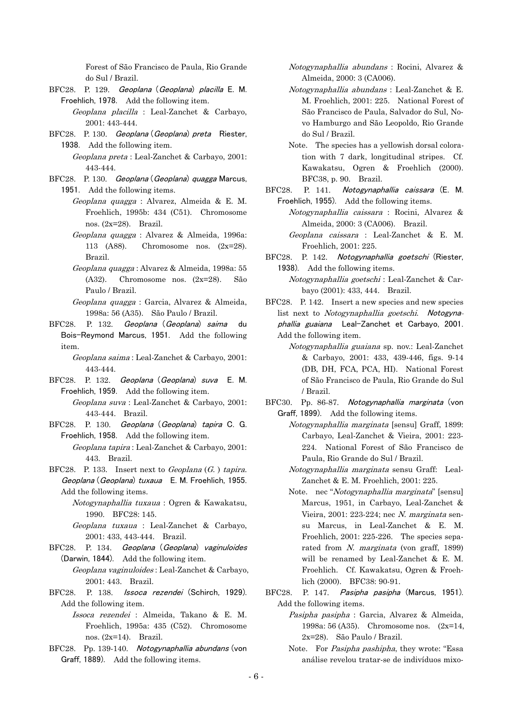Forest of São Francisco de Paula, Rio Grande do Sul / Brazil.

- BFC28. P. 129. Geoplana (Geoplana) placilla E. M. Froehlich, 1978. Add the following item.
	- Geoplana placilla : Leal-Zanchet & Carbayo, 2001: 443-444.
- BFC28. P. 130. Geoplana (Geoplana) preta Riester, 1938. Add the following item.

 Geoplana preta : Leal-Zanchet & Carbayo, 2001: 443-444.

- BFC28. P. 130. Geoplana (Geoplana) quagga Marcus, 1951. Add the following items.
	- Geoplana quagga : Alvarez, Almeida & E. M. Froehlich, 1995b: 434 (C51). Chromosome nos. (2x=28). Brazil.
	- Geoplana quagga : Alvarez & Almeida, 1996a: 113 (A88). Chromosome nos. (2x=28). Brazil.
	- Geoplana quagga : Alvarez & Almeida, 1998a: 55 (A32). Chromosome nos. (2x=28). São Paulo / Brazil.
	- Geoplana quagga : Garcia, Alvarez & Almeida, 1998a: 56 (A35). São Paulo / Brazil.
- BFC28. P. 132. Geoplana (Geoplana) saima du Bois-Reymond Marcus, 1951. Add the following item.

 Geoplana saima : Leal-Zanchet & Carbayo, 2001: 443-444.

- BFC28. P. 132. Geoplana (Geoplana) suva E. M. Froehlich, 1959. Add the following item. Geoplana suva : Leal-Zanchet & Carbayo, 2001: 443-444. Brazil.
- BFC28. P. 130. Geoplana (Geoplana) tapira C. G. Froehlich, 1958. Add the following item.
	- Geoplana tapira : Leal-Zanchet & Carbayo, 2001: 443. Brazil.
- BFC28. P. 133. Insert next to Geoplana  $(G. )$  tapira. Geoplana (Geoplana) tuxaua E. M. Froehlich, 1955. Add the following items.
	- Notogynaphallia tuxaua : Ogren & Kawakatsu, 1990. BFC28: 145.
	- Geoplana tuxaua : Leal-Zanchet & Carbayo, 2001: 433, 443-444. Brazil.
- BFC28. P. 134. Geoplana (Geoplana) vaginuloides (Darwin, 1844). Add the following item.
	- Geoplana vaginuloides : Leal-Zanchet & Carbayo, 2001: 443. Brazil.
- BFC28. P. 138. Issoca rezendei (Schirch, 1929). Add the following item.
	- Issoca rezendei : Almeida, Takano & E. M. Froehlich, 1995a: 435 (C52). Chromosome nos. (2x=14). Brazil.
- BFC28. Pp. 139-140. Notogynaphallia abundans (von Graff, 1889). Add the following items.
- Notogynaphallia abundans : Rocini, Alvarez & Almeida, 2000: 3 (CA006).
- Notogynaphallia abundans : Leal-Zanchet & E. M. Froehlich, 2001: 225. National Forest of São Francisco de Paula, Salvador do Sul, Novo Hamburgo and São Leopoldo, Rio Grande do Sul / Brazil.
- Note. The species has a yellowish dorsal coloration with 7 dark, longitudinal stripes. Cf. Kawakatsu, Ogren & Froehlich (2000). BFC38, p. 90. Brazil.
- BFC28. P. 141. Notogynaphallia caissara (E. M. Froehlich, 1955). Add the following items.
	- Notogynaphallia caissara : Rocini, Alvarez & Almeida, 2000: 3 (CA006). Brazil.

 Geoplana caissara : Leal-Zanchet & E. M. Froehlich, 2001: 225.

- BFC28. P. 142. Notogynaphallia goetschi (Riester, 1938). Add the following items.
	- Notogynaphallia goetschi : Leal-Zanchet & Carbayo (2001): 433, 444. Brazil.
- BFC28. P. 142. Insert a new species and new species list next to Notogynaphallia goetschi. Notogynaphallia guaiana Leal-Zanchet et Carbayo, 2001. Add the following item.
	- Notogynaphallia guaiana sp. nov.: Leal-Zanchet & Carbayo, 2001: 433, 439-446, figs. 9-14 (DB, DH, FCA, PCA, HI). National Forest of São Francisco de Paula, Rio Grande do Sul / Brazil.
- BFC30. Pp. 86-87. Notogynaphallia marginata (von Graff, 1899). Add the following items.
	- Notogynaphallia marginata [sensu] Graff, 1899: Carbayo, Leal-Zanchet & Vieira, 2001: 223- 224. National Forest of São Francisco de Paula, Rio Grande do Sul / Brazil.
	- Notogynaphallia marginata sensu Graff: Leal-Zanchet & E. M. Froehlich, 2001: 225.
	- Note. nec "Notogynaphallia marginata" [sensu] Marcus, 1951, in Carbayo, Leal-Zanchet & Vieira,  $2001: 223-224$ ; nec N. marginata sensu Marcus, in Leal-Zanchet & E. M. Froehlich, 2001: 225-226. The species separated from N. marginata (von graff, 1899) will be renamed by Leal-Zanchet & E. M. Froehlich. Cf. Kawakatsu, Ogren & Froehlich (2000). BFC38: 90-91.
- BFC28. P. 147. Pasipha pasipha (Marcus, 1951). Add the following items.
	- Pasipha pasipha : Garcia, Alvarez & Almeida, 1998a: 56 (A35). Chromosome nos. (2x=14, 2x=28). São Paulo / Brazil.
	- Note. For Pasipha pashipha, they wrote: "Essa análise revelou tratar-se de indivíduos mixo-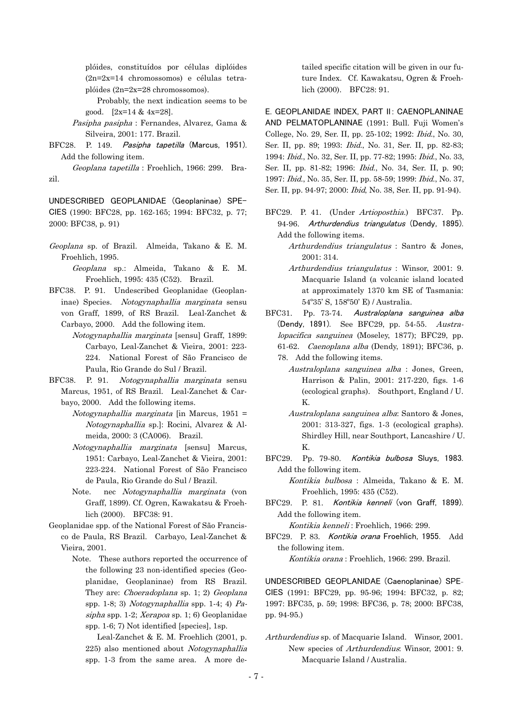plóides, constituídos por células diplóides (2n=2x=14 chromossomos) e células tetraplóides (2n=2x=28 chromossomos).

- Probably, the next indication seems to be good. [2x=14 & 4x=28].
- Pasipha pasipha : Fernandes, Alvarez, Gama & Silveira, 2001: 177. Brazil.
- BFC28. P. 149. Pasipha tapetilla (Marcus, 1951). Add the following item.

 Geoplana tapetilla : Froehlich, 1966: 299. Brazil.

UNDESCRIBED GEOPLANIDAE (Geoplaninae) SPE-CIES (1990: BFC28, pp. 162-165; 1994: BFC32, p. 77; 2000: BFC38, p. 91)

- Geoplana sp. of Brazil. Almeida, Takano & E. M. Froehlich, 1995.
	- Geoplana sp.: Almeida, Takano & E. M. Froehlich, 1995: 435 (C52). Brazil.
- BFC38. P. 91. Undescribed Geoplanidae (Geoplaninae) Species. Notogynaphallia marginata sensu von Graff, 1899, of RS Brazil. Leal-Zanchet & Carbayo, 2000. Add the following item.
	- Notogynaphallia marginata [sensu] Graff, 1899: Carbayo, Leal-Zanchet & Vieira, 2001: 223- 224. National Forest of São Francisco de Paula, Rio Grande do Sul / Brazil.
- BFC38. P. 91. Notogynaphallia marginata sensu Marcus, 1951, of RS Brazil. Leal-Zanchet & Carbayo, 2000. Add the following items.
	- $Notogynaphallia$  marginata [in Marcus, 1951 = Notogynaphallia sp.]: Rocini, Alvarez & Almeida, 2000: 3 (CA006). Brazil.
	- Notogynaphallia marginata [sensu] Marcus, 1951: Carbayo, Leal-Zanchet & Vieira, 2001: 223-224. National Forest of São Francisco de Paula, Rio Grande do Sul / Brazil.
	- Note. nec Notogynaphallia marginata (von Graff, 1899). Cf. Ogren, Kawakatsu & Froehlich (2000). BFC38: 91.
- Geoplanidae spp. of the National Forest of São Francisco de Paula, RS Brazil. Carbayo, Leal-Zanchet &
	- Vieira, 2001.
		- Note. These authors reported the occurrence of the following 23 non-identified species (Geoplanidae, Geoplaninae) from RS Brazil. They are: *Choeradoplana* sp. 1; 2) Geoplana spp. 1-8; 3) Notogynaphallia spp. 1-4; 4) Pasipha spp. 1-2; Xerapoa sp. 1; 6) Geoplanidae spp. 1-6; 7) Not identified [species], 1sp.
			- Leal-Zanchet & E. M. Froehlich (2001, p. 225) also mentioned about Notogynaphallia spp. 1-3 from the same area. A more de-

tailed specific citation will be given in our future Index. Cf. Kawakatsu, Ogren & Froehlich (2000). BFC28: 91.

E. GEOPLANIDAE INDEX, PART II: CAENOPLANINAE AND PELMATOPLANINAE (1991: Bull. Fuji Women's College, No. 29, Ser. II, pp. 25-102; 1992: Ibid., No. 30, Ser. II, pp. 89; 1993: Ibid., No. 31, Ser. II, pp. 82-83; 1994: Ibid., No. 32, Ser. II, pp. 77-82; 1995: Ibid., No. 33, Ser. II, pp. 81-82; 1996: Ibid., No. 34, Ser. II, p. 90; 1997: Ibid., No. 35, Ser. II, pp. 58-59; 1999: Ibid., No. 37, Ser. II, pp. 94-97; 2000: Ibid, No. 38, Ser. II, pp. 91-94).

- BFC29. P. 41. (Under Artioposthia.) BFC37. Pp. 94-96. Arthurdendius triangulatus (Dendy, 1895). Add the following items.
	- Arthurdendius triangulatus : Santro & Jones, 2001: 314.
	- Arthurdendius triangulatus : Winsor, 2001: 9. Macquarie Island (a volcanic island located at approximately 1370 km SE of Tasmania: 54º35' S, 158º50' E) / Australia.
- BFC31. Pp. 73-74. Australoplana sanguinea alba (Dendy, 1891). See BFC29, pp. 54-55. Australopacifica sanguinea (Moseley, 1877); BFC29, pp. 61-62. Caenoplana alba (Dendy, 1891); BFC36, p.
	- 78. Add the following items.
		- Australoplana sanguinea alba : Jones, Green, Harrison & Palin, 2001: 217-220, figs. 1-6 (ecological graphs). Southport, England / U. K.
	- Australoplana sanguinea alba: Santoro & Jones, 2001: 313-327, figs. 1-3 (ecological graphs). Shirdley Hill, near Southport, Lancashire / U. K.
- BFC29. Pp. 79-80. Kontikia bulbosa Sluys, 1983. Add the following item.
	- Kontikia bulbosa : Almeida, Takano & E. M. Froehlich, 1995: 435 (C52).
- BFC29. P. 81. Kontikia kenneli (von Graff, 1899). Add the following item.

Kontikia kenneli : Froehlich, 1966: 299.

BFC29. P. 83. Kontikia orana Froehlich, 1955. Add the following item. Kontikia orana : Froehlich, 1966: 299. Brazil.

UNDESCRIBED GEOPLANIDAE (Caenoplaninae) SPE-CIES (1991: BFC29, pp. 95-96; 1994: BFC32, p. 82; 1997: BFC35, p. 59; 1998: BFC36, p. 78; 2000: BFC38, pp. 94-95.)

Arthurdendius sp. of Macquarie Island. Winsor, 2001. New species of Arthurdendius: Winsor, 2001: 9. Macquarie Island / Australia.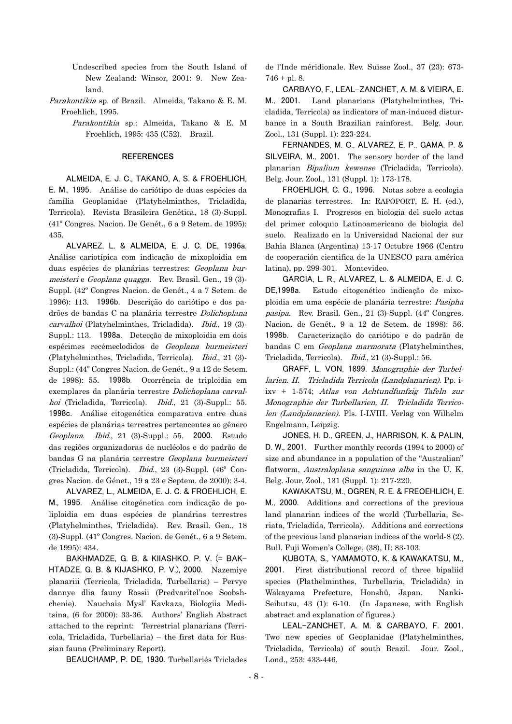Undescribed species from the South Island of New Zealand: Winsor, 2001: 9. New Zealand.

Parakontikia sp. of Brazil. Almeida, Takano & E. M. Froehlich, 1995.

> Parakontikia sp.: Almeida, Takano & E. M Froehlich, 1995: 435 (C52). Brazil.

## **REFERENCES**

ALMEIDA, E. J. C., TAKANO, A, S. & FROEHLICH, E. M., 1995. Análise do cariótipo de duas espécies da família Geoplanidae (Platyhelminthes, Tricladida, Terricola). Revista Brasileira Genética, 18 (3)-Suppl. (41º Congres. Nacion. De Genét., 6 a 9 Setem. de 1995): 435.

ALVAREZ, L. & ALMEIDA, E. J. C. DE, 1996a. Análise cariotípica com indicação de mixoploidia em duas espécies de planárias terrestres: Geoplana burmeisteri e Geoplana quagga. Rev. Brasil. Gen., 19 (3)- Suppl. (42º Congres Nacion. de Genét., 4 a 7 Setem. de 1996): 113. 1996b. Descrição do cariótipo e dos padrões de bandas C na planária terrestre Dolichoplana carvalhoi (Platyhelminthes, Tricladida). Ibid., 19 (3)- Suppl.: 113. 1998a. Detecção de mixoploidia em dois espécimes recémeclodidos de Geoplana burmeisteri (Platyhelminthes, Tricladida, Terricola). Ibid., 21 (3)- Suppl.: (44º Congres Nacion. de Genét., 9 a 12 de Setem. de 1998): 55. 1998b. Ocorrência de triploidia em exemplares da planária terrestre Dolichoplana carvalhoi (Tricladida, Terricola). *Ibid.*, 21 (3)-Suppl.: 55. 1998c. Análise citogenética comparativa entre duas espécies de planárias terrestres pertencentes ao gênero Geoplana. Ibid., 21 (3)-Suppl.: 55. 2000. Estudo das regiões organizadoras de nucléolos e do padrão de bandas G na planária terrestre Geoplana burmeisteri (Tricladida, Terricola). Ibid., 23 (3)-Suppl. (46º Congres Nacion. de Génet., 19 a 23 e Septem. de 2000): 3-4.

ALVAREZ, L., ALMEIDA, E. J. C. & FROEHLICH, E. M., 1995. Análise citogénetica com indicação de poliploidia em duas espécies de planárias terrestres (Platyhelminthes, Tricladida). Rev. Brasil. Gen., 18 (3)-Suppl. (41º Congres. Nacion. de Genét., 6 a 9 Setem. de 1995): 434.

BAKHMADZE, G. B. & KIIASHKO, P. V. (= BAK-HTADZE, G. B. & KIJASHKO, P. V.), 2000. Nazemiye planariii (Terricola, Tricladida, Turbellaria) – Pervye dannye dlia fauny Rossii (Predvaritel'noe Soobshchenie). Nauchaia Mysl' Kavkaza, Biologiia Meditsina, (6 for 2000): 33-36. Authors' English Abstract attached to the reprint: Terrestrial planarians (Terricola, Tricladida, Turbellaria) – the first data for Russian fauna (Preliminary Report).

BEAUCHAMP, P. DE, 1930. Turbellariés Triclades

de l'Inde méridionale. Rev. Suisse Zool., 37 (23): 673-  $746 +$  pl. 8.

CARBAYO, F., LEAL-ZANCHET, A. M. & VIEIRA, E. M., 2001. Land planarians (Platyhelminthes, Tricladida, Terricola) as indicators of man-induced disturbance in a South Brazilian rainforest. Belg. Jour. Zool., 131 (Suppl. 1): 223-224.

FERNANDES, M. C., ALVAREZ, E. P., GAMA, P. & SILVEIRA, M., 2001. The sensory border of the land planarian Bipalium kewense (Tricladida, Terricola). Belg. Jour. Zool., 131 (Suppl. 1): 173-178.

FROEHLICH, C. G., 1996. Notas sobre a ecologia de planarias terrestres. In: RAPOPORT, E. H. (ed.), Monografias I. Progresos en biologia del suelo actas del primer coloquio Latinoamericano de biologia del suelo. Realizado en la Universidad Nacional der sur Bahia Blanca (Argentina) 13-17 Octubre 1966 (Centro de cooperación cientifica de la UNESCO para américa latina), pp. 299-301. Montevideo.

GARCIA, L. R., ALVAREZ, L. & ALMEIDA, E. J. C. DE,1998a. Estudo citogenético indicação de mixoploidia em uma espécie de planária terrestre: Pasipha pasipa. Rev. Brasil. Gen., 21 (3)-Suppl. (44º Congres. Nacion. de Genét., 9 a 12 de Setem. de 1998): 56. 1998b. Caracterização do cariótipo e do padrão de bandas C em Geoplana marmorata (Platyhelminthes, Tricladida, Terricola). Ibid., 21 (3)-Suppl.: 56.

GRAFF, L. VON, 1899. Monographie der Turbellarien. II. Tricladida Terricola (Landplanarien). Pp. iixv + 1-574; Atlas von Achtundfunfzig Tafeln zur Monographie der Turbellarien, II. Tricladida Terricolen (Landplanarien). Pls. I-LVIII. Verlag von Wilhelm Engelmann, Leipzig.

JONES, H. D., GREEN, J., HARRISON, K. & PALIN, D. W., 2001. Further monthly records (1994 to 2000) of size and abundance in a population of the "Australian" flatworm, Australoplana sanguinea alba in the U. K. Belg. Jour. Zool., 131 (Suppl. 1): 217-220.

KAWAKATSU, M., OGREN, R. E. & FREOEHLICH, E. M., 2000. Additions and corrections of the previous land planarian indices of the world (Turbellaria, Seriata, Tricladida, Terricola). Additions and corrections of the previous land planarian indices of the world-8 (2). Bull. Fuji Women's College, (38), II: 83-103.

KUBOTA, S., YAMAMOTO, K. & KAWAKATSU, M., 2001. First distributional record of three bipaliid species (Plathelminthes, Turbellaria, Tricladida) in Wakayama Prefecture, Honshû, Japan. Nanki-Seibutsu, 43 (1): 6-10. (In Japanese, with English abstract and explanation of figures.)

LEAL-ZANCHET, A. M. & CARBAYO, F. 2001. Two new species of Geoplanidae (Platyhelminthes, Tricladida, Terricola) of south Brazil. Jour. Zool., Lond., 253: 433-446.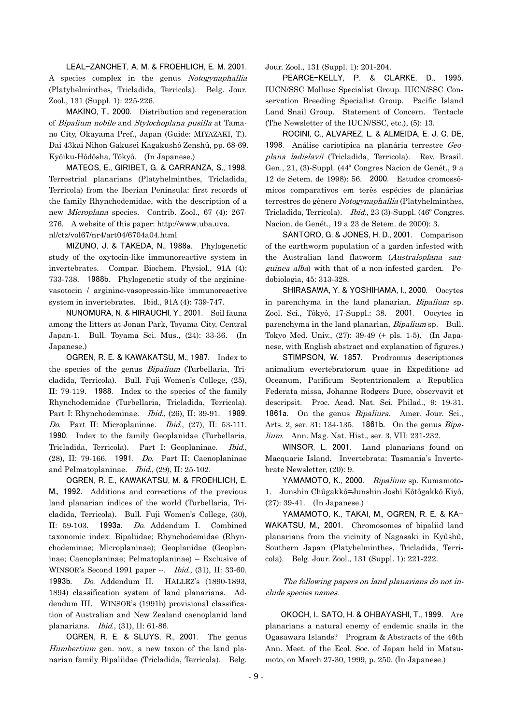LEAL-ZANCHET, A. M. & FROEHLICH, E. M. 2001. A species complex in the genus Notogynaphallia (Platyhelminthes, Tricladida, Terricola). Belg. Jour. Zool., 131 (Suppl. 1): 225-226.

MAKINO, T., 2000. Distribution and regeneration of Bipalium nobile and Stylochoplana pusilla at Tamano City, Okayama Pref., Japan (Guide: MIYAZAKI, T.). Dai 43kai Nihon Gakusei Kagakushô Zenshû, pp. 68-69. Kyôiku-Hôdôsha, Tôkyô. (In Japanese.)

MATEOS, E., GIRIBET, G. & CARRANZA, S., 1998. Terrestrial planarians (Platyhelminthes, Tricladida, Terricola) from the Iberian Peninsula: first records of the family Rhynchodemidae, with the description of a new Microplana species. Contrib. Zool., 67 (4): 267- 276. A website of this paper: [http://www.](http://www/)uba.uva. nl/ctz/vol67/nr4/art04/6704a04.html

MIZUNO, J. & TAKEDA, N., 1988a. Phylogenetic study of the oxytocin-like immunoreactive system in invertebrates. Compar. Biochem. Physiol., 91A (4): 733-738. 1988b. Phylogenetic study of the argininevasotocin / arginine-vasopressin-like immunoreactive system in invertebrates. Ibid., 91A (4): 739-747.

NUNOMURA, N. & HIRAUCHI, Y., 2001. Soil fauna among the litters at Jonan Park, Toyama City, Central Japan-1. Bull. Toyama Sci. Mus., (24): 33-36. (In Japanese.)

OGREN, R. E. & KAWAKATSU, M., 1987. Index to the species of the genus Bipalium (Turbellaria, Tricladida, Terricola). Bull. Fuji Women's College, (25), II: 79-119. 1988. Index to the species of the family Rhynchodemidae (Turbellaria, Tricladida, Terricola). Part I: Rhynchodeminae. Ibid., (26), II: 39-91. 1989. Do. Part II: Microplaninae. Ibid., (27), II: 53-111. 1990. Index to the family Geoplanidae (Turbellaria, Tricladida, Terricola). Part I: Geoplaninae. Ibid., (28), II: 79-166. 1991. Do. Part II: Caenoplaninae and Pelmatoplaninae. Ibid., (29), II: 25-102.

OGREN, R. E., KAWAKATSU, M. & FROEHLICH, E. M., 1992. Additions and corrections of the previous land planarian indices of the world (Turbellaria, Tricladida, Terricola). Bull. Fuji Women's College, (30), II: 59-103. 1993a. Do. Addendum I. Combined taxonomic index: Bipaliidae; Rhynchodemidae (Rhynchodeminae; Microplaninae); Geoplanidae (Geoplaninae; Caenoplaninae; Pelmatoplaninae) – Exclusive of WINSOR's Second 1991 paper --. Ibid., (31), II: 33-60. 1993b. Do. Addendum II. HALLEZ's (1890-1893, 1894) classification system of land planarians. Addendum III. WINSOR's (1991b) provisional classification of Australian and New Zealand caenoplanid land planarians. Ibid., (31), II: 61-86.

OGREN, R. E. & SLUYS, R., 2001. The genus Humbertium gen. nov., a new taxon of the land planarian family Bipaliidae (Tricladida, Terricola). Belg.

Jour. Zool., 131 (Suppl. 1): 201-204.

PEARCE-KELLY, P. & CLARKE, D., 1995. IUCN/SSC Mollusc Specialist Group. IUCN/SSC Conservation Breeding Specialist Group. Pacific Island Land Snail Group. Statement of Concern. Tentacle (The Newsletter of the IUCN/SSC, etc.), (5): 13.

ROCINI, C., ALVAREZ, L. & ALMEIDA, E. J. C. DE, 1998. Análise cariotípica na planária terrestre Geoplana ladislavii (Tricladida, Terricola). Rev. Brasil. Gen., 21, (3)-Suppl. (44º Congres Nacion de Genét., 9 a 12 de Setem. de 1998): 56. 2000. Estudos cromossômicos comparativos em terês espécies de planárias terrestres do gênero Notogynaphallia (Platyhelminthes, Tricladida, Terricola). Ibid., 23 (3)-Suppl. (46º Congres. Nacion. de Genét., 19 a 23 de Setem. de 2000): 3.

SANTORO, G. & JONES, H. D., 2001. Comparison of the earthworm population of a garden infested with the Australian land flatworm (Australoplana sanguinea alba) with that of a non-infested garden. Pedobiologia, 45: 313-328.

SHIRASAWA, Y. & YOSHIHAMA, I., 2000. Oocytes in parenchyma in the land planarian, Bipalium sp. Zool. Sci., Tôkyô, 17-Suppl.: 38. 2001. Oocytes in parenchyma in the land planarian, Bipalium sp. Bull. Tokyo Med. Univ., (27): 39-49 (+ pls. 1-5). (In Japanese, with English abstract and explanation of figures.)

STIMPSON, W. 1857. Prodromus descriptiones animalium evertebratorum quae in Expeditione ad Oceanum, Pacificum Septentrionalem a Republica Federata missa, Johanne Rodgers Duce, observavit et descripsit. Proc. Acad. Nat. Sci. Philad., 9: 19-31. 1861a. On the genus Bipaliura. Amer. Jour. Sci., Arts. 2, ser. 31: 134-135. **1861b**. On the genus *Bipa*lium. Ann. Mag. Nat. Hist., ser. 3, VII: 231-232.

WINSOR, L, 2001. Land planarians found on Macquarie Island. Invertebrata: Tasmania's Invertebrate Newsletter, (20): 9.

YAMAMOTO, K., 2000. Bipalium sp. Kumamoto-1. Junshin Chûgakkô=Junshin Joshi Kôtôgakkô Kiyô, (27): 39-41. (In Japanese.)

YAMAMOTO, K., TAKAI, M., OGREN, R. E. & KA-WAKATSU, M., 2001. Chromosomes of bipaliid land planarians from the vicinity of Nagasaki in Kyûshû, Southern Japan (Platyhelminthes, Tricladida, Terricola). Belg. Jour. Zool., 131 (Suppl. 1): 221-222.

The following papers on land planarians do not include species names.

 OKOCH, I., SATO, H. & OHBAYASHI, T., 1999. Are planarians a natural enemy of endemic snails in the Ogasawara Islands? Program & Abstracts of the 46th Ann. Meet. of the Ecol. Soc. of Japan held in Matsumoto, on March 27-30, 1999, p. 250. (In Japanese.)